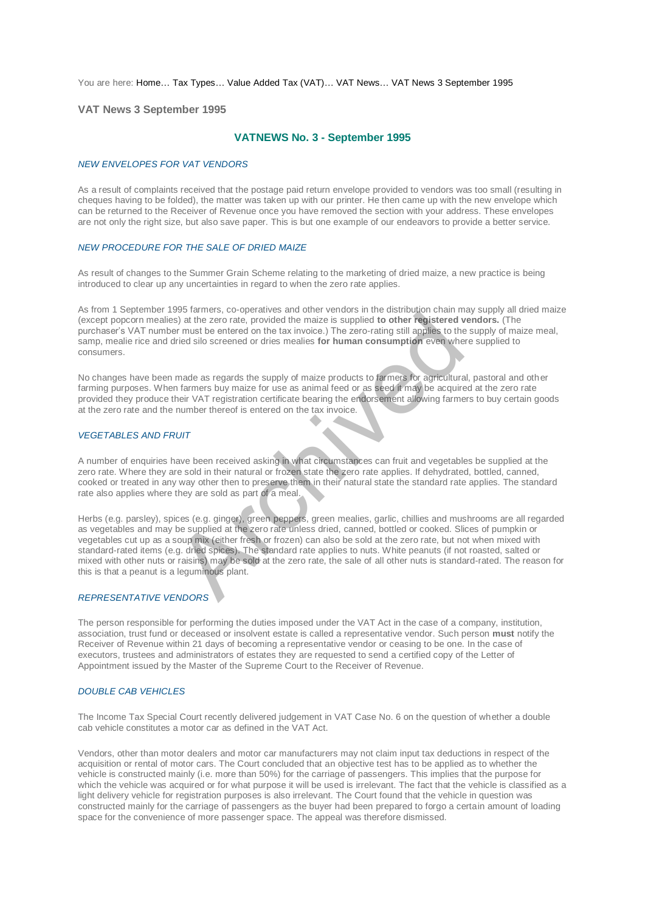You are here: [Home…](http://196.38.114.171/home.asp?pid=1) [Tax Types…](http://196.38.114.171/home.asp?pid=161) [Value Added Tax \(VAT\)…](http://196.38.114.171/home.asp?pid=194) [VAT News…](http://196.38.114.171/home.asp?pid=4722) [VAT News 3 September 1995](http://196.38.114.171/home.asp?pid=46689) 

### **VAT News 3 September 1995**

## **VATNEWS No. 3 - September 1995**

#### *NEW ENVELOPES FOR VAT VENDORS*

As a result of complaints received that the postage paid return envelope provided to vendors was too small (resulting in cheques having to be folded), the matter was taken up with our printer. He then came up with the new envelope which can be returned to the Receiver of Revenue once you have removed the section with your address. These envelopes are not only the right size, but also save paper. This is but one example of our endeavors to provide a better service.

### *NEW PROCEDURE FOR THE SALE OF DRIED MAIZE*

As result of changes to the Summer Grain Scheme relating to the marketing of dried maize, a new practice is being introduced to clear up any uncertainties in regard to when the zero rate applies.

As from 1 September 1995 farmers, co-operatives and other vendors in the distribution chain may supply all dried maize (except popcorn mealies) at the zero rate, provided the maize is supplied **to other registered vendors.** (The purchaser's VAT number must be entered on the tax invoice.) The zero-rating still applies to the supply of maize meal, samp, mealie rice and dried silo screened or dries mealies **for human consumption** even where supplied to consumers.

No changes have been made as regards the supply of maize products to farmers for agricultural, pastoral and other farming purposes. When farmers buy maize for use as animal feed or as seed it may be acquired at the zero rate provided they produce their VAT registration certificate bearing the endorsement allowing farmers to buy certain goods at the zero rate and the number thereof is entered on the tax invoice.

#### *VEGETABLES AND FRUIT*

A number of enquiries have been received asking in what circumstances can fruit and vegetables be supplied at the zero rate. Where they are sold in their natural or frozen state the zero rate applies. If dehydrated, bottled, canned, cooked or treated in any way other then to preserve them in their natural state the standard rate applies. The standard rate also applies where they are sold as part of a meal.

Herbs (e.g. parsley), spices (e.g. ginger), green peppers, green mealies, garlic, chillies and mushrooms are all regarded as vegetables and may be supplied at the zero rate unless dried, canned, bottled or cooked. Slices of pumpkin or vegetables cut up as a soup mix (either fresh or frozen) can also be sold at the zero rate, but not when mixed with standard-rated items (e.g. dried spices). The standard rate applies to nuts. White peanuts (if not roasted, salted or mixed with other nuts or raisins) may be sold at the zero rate, the sale of all other nuts is standard-rated. The reason for this is that a peanut is a leguminous plant. Solution and the zero rate, provided the maize is supplied to other registered vectors in the zero rate, provided the maize is supplied to other registered verter must be entered on the tax invoice.) The zero-rating still

# *REPRESENTATIVE VENDORS*

The person responsible for performing the duties imposed under the VAT Act in the case of a company, institution, association, trust fund or deceased or insolvent estate is called a representative vendor. Such person **must** notify the Receiver of Revenue within 21 days of becoming a representative vendor or ceasing to be one. In the case of executors, trustees and administrators of estates they are requested to send a certified copy of the Letter of Appointment issued by the Master of the Supreme Court to the Receiver of Revenue.

#### *DOUBLE CAB VEHICLES*

The Income Tax Special Court recently delivered judgement in VAT Case No. 6 on the question of whether a double cab vehicle constitutes a motor car as defined in the VAT Act.

Vendors, other than motor dealers and motor car manufacturers may not claim input tax deductions in respect of the acquisition or rental of motor cars. The Court concluded that an objective test has to be applied as to whether the vehicle is constructed mainly (i.e. more than 50%) for the carriage of passengers. This implies that the purpose for which the vehicle was acquired or for what purpose it will be used is irrelevant. The fact that the vehicle is classified as a light delivery vehicle for registration purposes is also irrelevant. The Court found that the vehicle in question was constructed mainly for the carriage of passengers as the buyer had been prepared to forgo a certain amount of loading space for the convenience of more passenger space. The appeal was therefore dismissed.